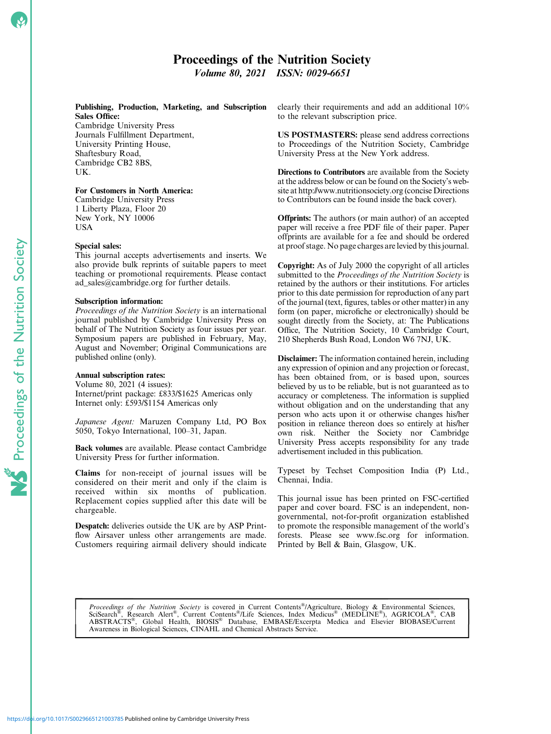## Proceedings of the Nutrition Society

Volume 80, 2021 ISSN: 0029-6651

Publishing, Production, Marketing, and Subscription Sales Office:

Cambridge University Press Journals Fulfillment Department, University Printing House, Shaftesbury Road, Cambridge CB2 8BS, UK.

#### For Customers in North America:

Cambridge University Press 1 Liberty Plaza, Floor 20 New York, NY 10006 **USA** 

#### Special sales:

This journal accepts advertisements and inserts. We also provide bulk reprints of suitable papers to meet teaching or promotional requirements. Please contact ad\_sales@cambridge.org for further details.

#### Subscription information:

Proceedings of the Nutrition Society is an international journal published by Cambridge University Press on behalf of The Nutrition Society as four issues per year. Symposium papers are published in February, May, August and November; Original Communications are published online (only).

#### Annual subscription rates:

Volume 80, 2021 (4 issues): Internet/print package: £833/\$1625 Americas only Internet only: £593/\$1154 Americas only

Japanese Agent: Maruzen Company Ltd, PO Box 5050, Tokyo International, 100–31, Japan.

Back volumes are available. Please contact Cambridge University Press for further information.

Claims for non-receipt of journal issues will be considered on their merit and only if the claim is received within six months of publication. Replacement copies supplied after this date will be chargeable.

Despatch: deliveries outside the UK are by ASP Printflow Airsaver unless other arrangements are made. Customers requiring airmail delivery should indicate clearly their requirements and add an additional 10% to the relevant subscription price.

US POSTMASTERS: please send address corrections to Proceedings of the Nutrition Society, Cambridge University Press at the New York address.

Directions to Contributors are available from the Society at the address below or can be found on the Society's website at http://www.nutritionsociety.org (concise Directions to Contributors can be found inside the back cover).

Offprints: The authors (or main author) of an accepted paper will receive a free PDF file of their paper. Paper offprints are available for a fee and should be ordered at proof stage. No page charges are levied by this journal.

Copyright: As of July 2000 the copyright of all articles submitted to the Proceedings of the Nutrition Society is retained by the authors or their institutions. For articles prior to this date permission for reproduction of any part of the journal (text, figures, tables or other matter) in any form (on paper, microfiche or electronically) should be sought directly from the Society, at: The Publications Office, The Nutrition Society, 10 Cambridge Court, 210 Shepherds Bush Road, London W6 7NJ, UK.

Disclaimer: The information contained herein, including any expression of opinion and any projection or forecast, has been obtained from, or is based upon, sources believed by us to be reliable, but is not guaranteed as to accuracy or completeness. The information is supplied without obligation and on the understanding that any person who acts upon it or otherwise changes his/her position in reliance thereon does so entirely at his/her own risk. Neither the Society nor Cambridge University Press accepts responsibility for any trade advertisement included in this publication.

Typeset by Techset Composition India (P) Ltd., Chennai, India.

This journal issue has been printed on FSC-certified paper and cover board. FSC is an independent, nongovernmental, not-for-profit organization established to promote the responsible management of the world's forests. Please see www.fsc.org for information. Printed by Bell & Bain, Glasgow, UK.

*Proceedings of the Nutrition Society* is covered in Current Contents<sup>®</sup>/Agriculture, Biology & Environmental Sciences, SciSearch®, Research Alert®, Current Contents®/Life Sciences, Index Medicus® (MEDLINE®), AGRICOLA®, CAB ABSTRACTS®, Global Health, BIOSIS® Database, EMBASE/Excerpta Medica and Elsevier BIOBASE/Current Awareness in Biological Sciences, CINAHL and Chemical Abstracts Service.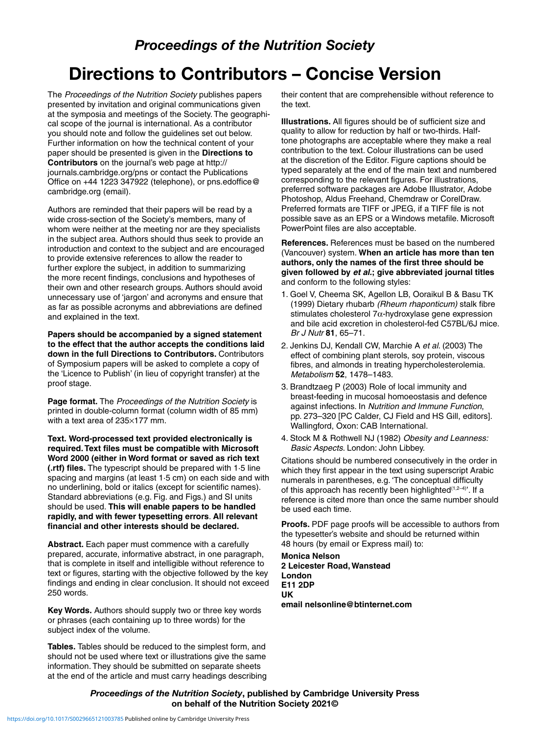# **Directions to Contributors – Concise Version**

The *Proceedings of the Nutrition Society* publishes papers presented by invitation and original communications given at the symposia and meetings of the Society. The geographical scope of the journal is international. As a contributor you should note and follow the guidelines set out below. Further information on how the technical content of your paper should be presented is given in the **Directions to Contributors** on the journal's web page at http:// journals.cambridge.org/pns or contact the Publications Office on  $+44$  1223 347922 (telephone), or pns.edoffice@ cambridge.org (email).

Authors are reminded that their papers will be read by a wide cross-section of the Society's members, many of whom were neither at the meeting nor are they specialists in the subject area. Authors should thus seek to provide an introduction and context to the subject and are encouraged to provide extensive references to allow the reader to further explore the subject, in addition to summarizing the more recent findings, conclusions and hypotheses of their own and other research groups. Authors should avoid unnecessary use of 'jargon' and acronyms and ensure that as far as possible acronyms and abbreviations are defined and explained in the text.

**Papers should be accompanied by a signed statement to the effect that the author accepts the conditions laid down in the full Directions to Contributors.** Contributors of Symposium papers will be asked to complete a copy of the 'Licence to Publish' (in lieu of copyright transfer) at the proof stage.

**Page format.** The *Proceedings of the Nutrition Society* is printed in double-column format (column width of 85 mm) with a text area of 235×177 mm.

**Text. Word-processed text provided electronically is**  required. Text files must be compatible with Microsoft **Word 2000 (either in Word format or saved as rich text (.rtf) files.** The typescript should be prepared with 1.5 line spacing and margins (at least 1·5 cm) on each side and with no underlining, bold or italics (except for scientific names). Standard abbreviations (e.g. Fig. and Figs.) and SI units should be used. **This will enable papers to be handled rapidly, and with fewer typesetting errors**. **All relevant**  financial and other interests should be declared.

**Abstract.** Each paper must commence with a carefully prepared, accurate, informative abstract, in one paragraph, that is complete in itself and intelligible without reference to text or figures, starting with the objective followed by the key findings and ending in clear conclusion. It should not exceed 250 words.

**Key Words.** Authors should supply two or three key words or phrases (each containing up to three words) for the subject index of the volume.

**Tables.** Tables should be reduced to the simplest form, and should not be used where text or illustrations give the same information. They should be submitted on separate sheets at the end of the article and must carry headings describing their content that are comprehensible without reference to the text.

**Illustrations.** All figures should be of sufficient size and quality to allow for reduction by half or two-thirds. Halftone photographs are acceptable where they make a real contribution to the text. Colour illustrations can be used at the discretion of the Editor. Figure captions should be typed separately at the end of the main text and numbered corresponding to the relevant figures. For illustrations, preferred software packages are Adobe Illustrator, Adobe Photoshop, Aldus Freehand, Chemdraw or CorelDraw. Preferred formats are TIFF or JPEG, if a TIFF file is not possible save as an EPS or a Windows metafile. Microsoft PowerPoint files are also acceptable.

**References.** References must be based on the numbered (Vancouver) system. **When an article has more than ten**  authors, only the names of the first three should be **given followed by** *et al.***; give abbreviated journal titles** and conform to the following styles:

- 1. Goel V, Cheema SK, Agellon LB, Ooraikul B & Basu TK (1999) Dietary rhubarb (Rheum rhaponticum) stalk fibre stimulates cholesterol 7α-hydroxylase gene expression and bile acid excretion in cholesterol-fed C57BL/6J mice. *Br J Nutr* **81**, 65–71.
- 2. Jenkins DJ, Kendall CW, Marchie A *et al*. (2003) The effect of combining plant sterols, soy protein, viscous fibres, and almonds in treating hypercholesterolemia. *Metabolism* **52**, 1478–1483.
- 3. Brandtzaeg P (2003) Role of local immunity and breast-feeding in mucosal homoeostasis and defence against infections. In *Nutrition and Immune Function*, pp. 273–320 [PC Calder, CJ Field and HS Gill, editors]. Wallingford, Oxon: CAB International.
- 4. Stock M & Rothwell NJ (1982) *Obesity and Leanness: Basic Aspects*. London: John Libbey.

Citations should be numbered consecutively in the order in which they first appear in the text using superscript Arabic numerals in parentheses, e.g. 'The conceptual difficulty of this approach has recently been highlighted<sup>(1,2-4)</sup>'. If a reference is cited more than once the same number should be used each time.

**Proofs.** PDF page proofs will be accessible to authors from the typesetter's website and should be returned within 48 hours (by email or Express mail) to:

**Monica Nelson 2 Leicester Road, Wanstead London E11 2DP UK email nelsonline@btinternet.com**

*Proceedings of the Nutrition Society***, published by Cambridge University Press on behalf of the Nutrition Society 2021©**